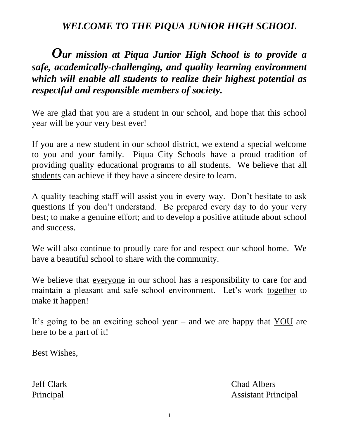## *WELCOME TO THE PIQUA JUNIOR HIGH SCHOOL*

## *Our mission at Piqua Junior High School is to provide a safe, academically-challenging, and quality learning environment which will enable all students to realize their highest potential as respectful and responsible members of society.*

We are glad that you are a student in our school, and hope that this school year will be your very best ever!

If you are a new student in our school district, we extend a special welcome to you and your family. Piqua City Schools have a proud tradition of providing quality educational programs to all students. We believe that all students can achieve if they have a sincere desire to learn.

A quality teaching staff will assist you in every way. Don't hesitate to ask questions if you don't understand. Be prepared every day to do your very best; to make a genuine effort; and to develop a positive attitude about school and success.

We will also continue to proudly care for and respect our school home. We have a beautiful school to share with the community.

We believe that everyone in our school has a responsibility to care for and maintain a pleasant and safe school environment. Let's work together to make it happen!

It's going to be an exciting school year – and we are happy that YOU are here to be a part of it!

Best Wishes,

Jeff Clark Chad Albers Principal Assistant Principal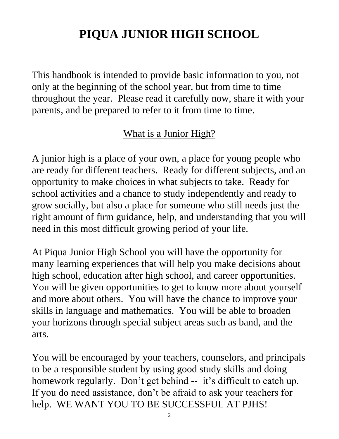# **PIQUA JUNIOR HIGH SCHOOL**

This handbook is intended to provide basic information to you, not only at the beginning of the school year, but from time to time throughout the year. Please read it carefully now, share it with your parents, and be prepared to refer to it from time to time.

## What is a Junior High?

A junior high is a place of your own, a place for young people who are ready for different teachers. Ready for different subjects, and an opportunity to make choices in what subjects to take. Ready for school activities and a chance to study independently and ready to grow socially, but also a place for someone who still needs just the right amount of firm guidance, help, and understanding that you will need in this most difficult growing period of your life.

At Piqua Junior High School you will have the opportunity for many learning experiences that will help you make decisions about high school, education after high school, and career opportunities. You will be given opportunities to get to know more about yourself and more about others. You will have the chance to improve your skills in language and mathematics. You will be able to broaden your horizons through special subject areas such as band, and the arts.

You will be encouraged by your teachers, counselors, and principals to be a responsible student by using good study skills and doing homework regularly. Don't get behind -- it's difficult to catch up. If you do need assistance, don't be afraid to ask your teachers for help. WE WANT YOU TO BE SUCCESSFUL AT PJHS!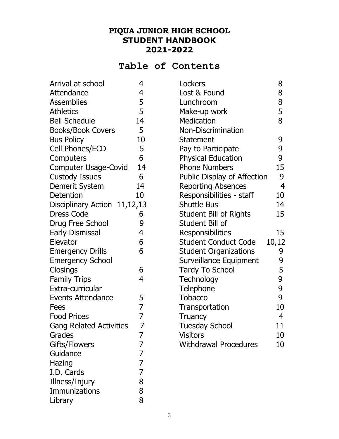## **PIQUA JUNIOR HIGH SCHOOL STUDENT HANDBOOK 2021-2022**

## **Table of Contents**

| Arrival at school              | 4              | Lockers                       | 8              |
|--------------------------------|----------------|-------------------------------|----------------|
| Attendance                     | 4              | Lost & Found                  | 8              |
| <b>Assemblies</b>              | 5              | Lunchroom                     | 8              |
| <b>Athletics</b>               | 5              | Make-up work                  | 5              |
| <b>Bell Schedule</b>           | 14             | Medication                    | 8              |
| <b>Books/Book Covers</b>       | 5              | Non-Discrimination            |                |
| <b>Bus Policy</b>              | 10             | <b>Statement</b>              | 9              |
| Cell Phones/ECD                | 5              | Pay to Participate            | 9              |
| Computers                      | 6              | <b>Physical Education</b>     | 9              |
| <b>Computer Usage-Covid</b>    | 14             | <b>Phone Numbers</b>          | 15             |
| <b>Custody Issues</b>          | 6              | Public Display of Affection   | 9              |
| Demerit System                 | 14             | <b>Reporting Absences</b>     | $\overline{4}$ |
| Detention                      | 10             | Responsibilities - staff      | 10             |
| Disciplinary Action 11,12,13   |                | <b>Shuttle Bus</b>            | 14             |
| <b>Dress Code</b>              | 6              | <b>Student Bill of Rights</b> | 15             |
| Drug Free School               | 9              | Student Bill of               |                |
| <b>Early Dismissal</b>         | 4              | Responsibilities              | 15             |
| Elevator                       | 6              | <b>Student Conduct Code</b>   | 10,12          |
| <b>Emergency Drills</b>        | 6              | <b>Student Organizations</b>  | 9              |
| <b>Emergency School</b>        |                | Surveillance Equipment        | 9              |
| Closings                       | 6              | <b>Tardy To School</b>        | 5              |
| <b>Family Trips</b>            | $\overline{4}$ | <b>Technology</b>             | 9              |
| Extra-curricular               |                | Telephone                     | 9              |
| Events Attendance              | 5              | <b>Tobacco</b>                | 9              |
| <b>Fees</b>                    | $\overline{7}$ | Transportation                | 10             |
| <b>Food Prices</b>             | 7              | Truancy                       | $\overline{4}$ |
| <b>Gang Related Activities</b> | 7              | <b>Tuesday School</b>         | 11             |
| Grades                         | 7              | <b>Visitors</b>               | 10             |
| Gifts/Flowers                  | 7              | <b>Withdrawal Procedures</b>  | 10             |
| Guidance                       | 7              |                               |                |
| Hazing                         | 7              |                               |                |
| I.D. Cards                     | 7              |                               |                |
| Illness/Injury                 | 8              |                               |                |
| Immunizations                  | 8              |                               |                |
| Library                        | 8              |                               |                |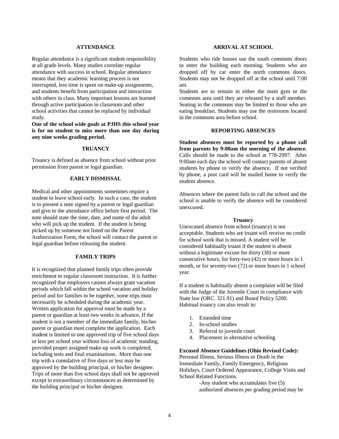#### **ATTENDANCE**

Regular attendance is a significant student responsibility at all grade levels. Many studies correlate regular attendance with success in school. Regular attendance means that they academic learning process is not interrupted, less time is spent on make-up assignments, and students benefit from participation and interaction with others in class. Many important lessons are learned through active participation in classroom and other school activities that cannot be replaced by individual study.

**One of the school wide goals at PJHS this school year is for no student to miss more than one day during any nine weeks grading period.** 

#### **TRUANCY**

Truancy is defined as absence from school without prior permission from parent or legal guardian.

#### **EARLY DISMISSAL**

Medical and other appointments sometimes require a student to leave school early. In such a case, the student is to present a note signed by a parent or legal guardian and give to the attendance office before first period. The note should state the time, date, and name of the adult who will pick up the student. If the student is being picked up by someone not listed on the Parent Authorization Form, the school will contact the parent or legal guardian before releasing the student.

## **FAMILY TRIPS**

It is recognized that planned family trips often provide enrichment to regular classroom instruction. It is further recognized that employers cannot always grant vacation periods which fall within the school vacation and holiday period and for families to be together, some trips must necessarily be scheduled during the academic year. Written application for approval must be made by a parent or guardian at least two weeks in advance. If the student is not a member of the immediate family, his/her parent or guardian must complete the application. Each student is limited to one approved trip of five school days or less per school year without loss of academic standing, provided proper assigned make-up work is completed, including tests and final examinations. More than one trip with a cumulative of five days or less may be approved by the building principal, or his/her designee. Trips of more than five school days shall not be approved except in extraordinary circumstances as determined by the building principal or his/her designee.

## **ARRIVAL AT SCHOOL**

Students who ride busses use the south commons doors to enter the building each morning. Students who are dropped off by car enter the north commons doors. Students may not be dropped off at the school until 7:00 am.

Students are to remain in either the main gym or the commons area until they are released by a staff member. Seating in the commons may be limited to those who are eating breakfast. Students may use the restrooms located in the commons area before school.

## **REPORTING ABSENCES**

**Student absences must be reported by a phone call from parents by 9:00am the morning of the absence.**  Calls should be made to the school at 778-2997. After 9:00am each day the school will contact parents of absent students by phone to verify the absence. If not verified by phone, a post card will be mailed home to verify the student absence.

Absences where the parent fails to call the school and the school is unable to verify the absence will be considered unexcused.

#### **Truancy**

Unexcused absence from school (truancy) is not acceptable. Students who are truant will receive no credit for school work that is missed. A student will be considered habitually truant if the student is absent without a legitimate excuse for thirty (30) or more consecutive hours, for forty-two (42) or more hours in 1 month, or for seventy-two (72) or more hours in 1 school year.

If a student is habitually absent a complaint will be filed with the Judge of the Juvenile Court in compliance with State law (ORC. 321.91) and Board Policy 5200. Habitual truancy can also result in:

- 1. Extended time
- 2. In-school studies
- 3. Referral to juvenile court
- 4. Placement in alternative schooling

## **Excused Absence Guidelines (Ohio Revised Code):**

Personal Illness, Serious Illness or Death in the Immediate Family, Family Emergency, Religious Holidays, Court Ordered Appearance, College Visits and School Related Functions.

> -Any student who accumulates five (5) authorized absences per grading period may be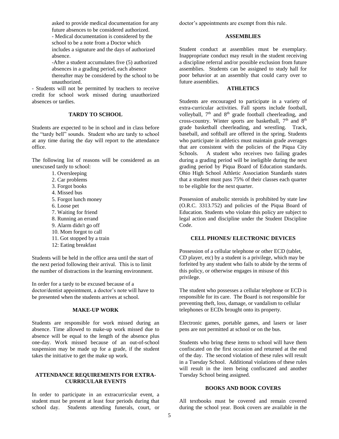asked to provide medical documentation for any future absences to be considered authorized.

- Medical documentation is considered by the school to be a note from a Doctor which includes a signature and the days of authorized absence.

-After a student accumulates five (5) authorized absences in a grading period, each absence thereafter may be considered by the school to be unauthorized.

- Students will not be permitted by teachers to receive credit for school work missed during unauthorized absences or tardies.

#### **TARDY TO SCHOOL**

Students are expected to be in school and in class before the "tardy bell" sounds. Student who are tardy to school at any time during the day will report to the attendance office.

The following list of reasons will be considered as an unexcused tardy to school:

- 1. Oversleeping
- 2. Car problems
- 3. Forgot books
- 4. Missed bus
- 5. Forgot lunch money
- 6. Loose pet
- 7. Waiting for friend
- 8. Running an errand
- 9. Alarm didn't go off
- 10. Mom forgot to call
- 11. Got stopped by a train
- 12: Eating breakfast

Students will be held in the office area until the start of the next period following their arrival. This is to limit the number of distractions in the learning environment.

In order for a tardy to be excused because of a doctor/dentist appointment, a doctor's note will have to be presented when the students arrives at school.

#### **MAKE-UP WORK**

Students are responsible for work missed during an absence. Time allowed to make-up work missed due to absence will be equal to the length of the absence plus one-day. Work missed because of an out-of-school suspension may be made up for a grade, if the student takes the initiative to get the make up work.

#### **ATTENDANCE REQUIREMENTS FOR EXTRA-CURRICULAR EVENTS**

In order to participate in an extracurricular event, a student must be present at least four periods during that school day. Students attending funerals, court, or doctor's appointments are exempt from this rule.

### **ASSEMBLIES**

Student conduct at assemblies must be exemplary. Inappropriate conduct may result in the student receiving a discipline referral and/or possible exclusion from future assemblies. Students can be assigned to study hall for poor behavior at an assembly that could carry over to future assemblies.

## **ATHLETICS**

Students are encouraged to participate in a variety of extra-curricular activities. Fall sports include football, volleyball, 7<sup>th</sup> and 8<sup>th</sup> grade football cheerleading, and cross-country. Winter sports are basketball, 7<sup>th</sup> and 8<sup>th</sup> grade basketball cheerleading, and wrestling. Track, baseball, and softball are offered in the spring. Students who participate in athletics must maintain grade averages that are consistent with the policies of the Piqua City Schools. A student who receives two failing grades during a grading period will be ineligible during the next grading period by Piqua Board of Education standards. Ohio High School Athletic Association Standards states that a student must pass 75% of their classes each quarter to be eligible for the next quarter.

Possession of anabolic steroids is prohibited by state law (O.R.C. 3313.752) and policies of the Piqua Board of Education. Students who violate this policy are subject to legal action and discipline under the Student Discipline Code.

#### **CELL PHONES/ ELECTRONIC DEVICES**

Possession of a cellular telephone or other ECD (tablet, CD player, etc) by a student is a privilege, which may be forfeited by any student who fails to abide by the terms of this policy, or otherwise engages in misuse of this privilege.

The student who possesses a cellular telephone or ECD is responsible for its care. The Board is not responsible for preventing theft, loss, damage, or vandalism to cellular telephones or ECDs brought onto its property.

Electronic games, portable games, and lasers or laser pens are not permitted at school or on the bus.

Students who bring these items to school will have them confiscated on the first occasion and returned at the end of the day. The second violation of these rules will result in a Tuesday School. Additional violations of these rules will result in the item being confiscated and another Tuesday School being assigned.

#### **BOOKS AND BOOK COVERS**

All textbooks must be covered and remain covered during the school year. Book covers are available in the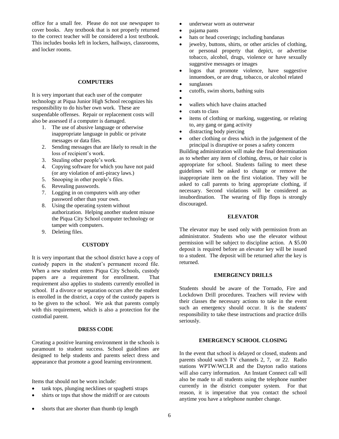office for a small fee. Please do not use newspaper to cover books. Any textbook that is not properly returned to the correct teacher will be considered a lost textbook. This includes books left in lockers, hallways, classrooms, and locker rooms.

## **COMPUTERS**

It is very important that each user of the computer technology at Piqua Junior High School recognizes his responsibility to do his/her own work. These are suspendable offenses. Repair or replacement costs will also be assessed if a computer is damaged.

- 1. The use of abusive language or otherwise inappropriate language in public or private messages or data files.
- 2. Sending messages that are likely to result in the loss of recipient's work.
- 3. Stealing other people's work.
- 4. Copying software for which you have not paid (or any violation of anti-piracy laws.)
- 5. Snooping in other people's files.
- 6. Revealing passwords.
- 7. Logging in on computers with any other password other than your own.
- 8. Using the operating system without authorization. Helping another student misuse the Piqua City School computer technology or tamper with computers.
- 9. Deleting files.

#### **CUSTODY**

It is very important that the school district have a copy of custody papers in the student's permanent record file. When a new student enters Piqua City Schools, custody papers are a requirement for enrollment. That requirement also applies to students currently enrolled in school. If a divorce or separation occurs after the student is enrolled in the district, a copy of the custody papers is to be given to the school. We ask that parents comply with this requirement, which is also a protection for the custodial parent.

## **DRESS CODE**

Creating a positive learning environment in the schools is paramount to student success. School guidelines are designed to help students and parents select dress and appearance that promote a good learning environment.

Items that should not be worn include:

- tank tops, plunging necklines or spaghetti straps
- shirts or tops that show the midriff or are cutouts
- underwear worn as outerwear
- pajama pants
- hats or head coverings; including bandanas
- jewelry, buttons, shirts, or other articles of clothing, or personal property that depict, or advertise tobacco, alcohol, drugs, violence or have sexually suggestive messages or images
- logos that promote violence, have suggestive innuendoes, or are drug, tobacco, or alcohol related
- sunglasses
- cutoffs, swim shorts, bathing suits
- $\bullet$
- wallets which have chains attached
- coats to class
- items of clothing or marking, suggesting, or relating to, any gang or gang activity
- distracting body piercing
- other clothing or dress which in the judgement of the principal is disruptive or poses a safety concern

Building administration will make the final determination as to whether any item of clothing, dress, or hair color is appropriate for school. Students failing to meet these guidelines will be asked to change or remove the inappropriate item on the first violation. They will be asked to call parents to bring appropriate clothing, if necessary. Second violations will be considered as insubordination. The wearing of flip flops is strongly discouraged.

### **ELEVATOR**

The elevator may be used only with permission from an administrator. Students who use the elevator without permission will be subject to discipline action. A \$5.00 deposit is required before an elevator key will be issued to a student. The deposit will be returned after the key is returned.

#### **EMERGENCY DRILLS**

Students should be aware of the Tornado, Fire and Lockdown Drill procedures. Teachers will review with their classes the necessary actions to take in the event such an emergency should occur. It is the students' responsibility to take these instructions and practice drills seriously.

#### **EMERGENCY SCHOOL CLOSING**

In the event that school is delayed or closed, students and parents should watch TV channels 2, 7, or 22. Radio stations WPTW/WCLR and the Dayton radio stations will also carry information. An Instant Connect call will also be made to all students using the telephone number currently in the district computer system. For that reason, it is imperative that you contact the school anytime you have a telephone number change.

shorts that are shorter than thumb tip length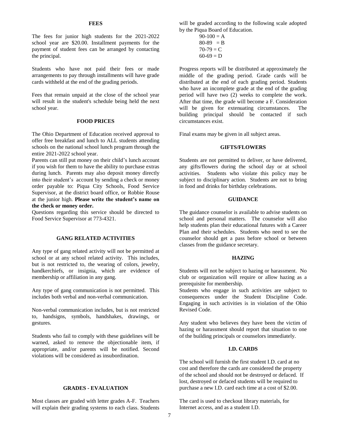#### **FEES**

The fees for junior high students for the 2021-2022 school year are \$20.00. Installment payments for the payment of student fees can be arranged by contacting the principal.

Students who have not paid their fees or made arrangements to pay through installments will have grade cards withheld at the end of the grading periods.

Fees that remain unpaid at the close of the school year will result in the student's schedule being held the next school year.

#### **FOOD PRICES**

The Ohio Department of Education received approval to offer free breakfast and lunch to ALL students attending schools on the national school lunch program through the entire 2021-2022 school year.

Parents can still put money on their child's lunch account if you wish for them to have the ability to purchase extras during lunch. Parents may also deposit money directly into their student's account by sending a check or money order payable to: Piqua City Schools, Food Service Supervisor, at the district board office, or Robbie Rouse at the junior high. **Please write the student's name on the check or money order.**

Questions regarding this service should be directed to Food Service Supervisor at 773-4321.

#### **GANG RELATED ACTIVITIES**

Any type of gang related activity will not be permitted at school or at any school related activity. This includes, but is not restricted to, the wearing of colors, jewelry, handkerchiefs, or insignia, which are evidence of membership or affiliation in any gang.

Any type of gang communication is not permitted. This includes both verbal and non-verbal communication.

Non-verbal communication includes, but is not restricted to, handsigns, symbols, handshakes, drawings, or gestures.

Students who fail to comply with these guidelines will be warned, asked to remove the objectionable item, if appropriate, and/or parents will be notified. Second violations will be considered as insubordination.

#### **GRADES - EVALUATION**

Most classes are graded with letter grades A-F. Teachers will explain their grading systems to each class. Students will be graded according to the following scale adopted by the Piqua Board of Education.

> $90-100 = A$  $80-89 = B$  $70-79 = C$  $60-69 = D$

Progress reports will be distributed at approximately the middle of the grading period. Grade cards will be distributed at the end of each grading period. Students who have an incomplete grade at the end of the grading period will have two (2) weeks to complete the work. After that time, the grade will become a F. Consideration will be given for extenuating circumstances. The building principal should be contacted if such circumstances exist.

Final exams may be given in all subject areas.

#### **GIFTS/FLOWERS**

Students are not permitted to deliver, or have delivered, any gifts/flowers during the school day or at school activities. Students who violate this policy may be subject to disciplinary action. Students are not to bring in food and drinks for birthday celebrations.

#### **GUIDANCE**

The guidance counselor is available to advise students on school and personal matters. The counselor will also help students plan their educational futures with a Career Plan and their schedules. Students who need to see the counselor should get a pass before school or between classes from the guidance secretary.

#### **HAZING**

Students will not be subject to hazing or harassment. No club or organization will require or allow hazing as a prerequisite for membership.

Students who engage in such activities are subject to consequences under the Student Discipline Code. Engaging in such activities is in violation of the Ohio Revised Code.

Any student who believes they have been the victim of hazing or harassment should report that situation to one of the building principals or counselors immediately.

#### **I.D. CARDS**

The school will furnish the first student I.D. card at no cost and therefore the cards are considered the property of the school and should not be destroyed or defaced. If lost, destroyed or defaced students will be required to purchase a new I.D. card each time at a cost of \$2.00.

The card is used to checkout library materials, for Internet access, and as a student I.D.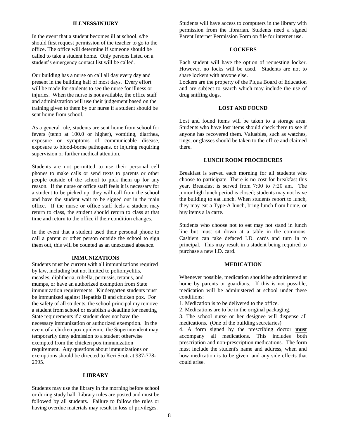#### **ILLNESS/INJURY**

In the event that a student becomes ill at school, s/he should first request permission of the teacher to go to the office. The office will determine if someone should be called to take a student home. Only persons listed on a student's emergency contact list will be called.

Our building has a nurse on call all day every day and present in the building half of most days. Every effort will be made for students to see the nurse for illness or injuries. When the nurse is not available, the office staff and administration will use their judgement based on the training given to them by our nurse if a student should be sent home from school.

As a general rule, students are sent home from school for fevers (temp at 100.0 or higher), vomiting, diarrhea, exposure or symptoms of communicable disease, exposure to blood-borne pathogens, or injuring requiring supervision or further medical attention.

Students are not permitted to use their personal cell phones to make calls or send texts to parents or other people outside of the school to pick them up for any reason. If the nurse or office staff feels it is necessary for a student to be picked up, they will call from the school and have the student wait to be signed out in the main office. If the nurse or office staff feels a student may return to class, the student should return to class at that time and return to the office if their condition changes.

In the event that a student used their personal phone to call a parent or other person outside the school to sign them out, this will be counted as an unexcused absence.

#### **IMMUNIZATIONS**

Students must be current with all immunizations required by law, including but not limited to poliomyelitis, measles, diphtheria, rubella, pertussis, tetanus, and mumps, or have an authorized exemption from State immunization requirements. Kindergarten students must be immunized against Hepatitis B and chicken pox. For the safety of all students, the school principal my remove a student from school or establish a deadline for meeting State requirements if a student does not have the necessary immunization or authorized exemption. In the event of a chicken pox epidemic, the Superintendent may temporarily deny admission to a student otherwise exempted from the chicken pox immunization requirement. Any questions about immunizations or exemptions should be directed to Keri Scott at 937-778- 2995.

#### **LIBRARY**

Students may use the library in the morning before school or during study hall. Library rules are posted and must be followed by all students. Failure to follow the rules or having overdue materials may result in loss of privileges.

Students will have access to computers in the library with permission from the librarian. Students need a signed Parent Internet Permission Form on file for internet use.

#### **LOCKERS**

Each student will have the option of requesting locker. However, no locks will be used. Students are not to share lockers with anyone else.

Lockers are the property of the Piqua Board of Education and are subject to search which may include the use of drug sniffing dogs.

#### **LOST AND FOUND**

Lost and found items will be taken to a storage area. Students who have lost items should check there to see if anyone has recovered them. Valuables, such as watches, rings, or glasses should be taken to the office and claimed there.

#### **LUNCH ROOM PROCEDURES**

Breakfast is served each morning for all students who choose to participate. There is no cost for breakfast this year. Breakfast is served from 7:00 to 7:20 am. The junior high lunch period is closed; students may not leave the building to eat lunch. When students report to lunch, they may eat a Type-A lunch, bring lunch from home, or buy items a la carte.

Students who choose not to eat may not stand in lunch line but must sit down at a table in the commons. Cashiers can take defaced I.D. cards and turn in to principal. This may result in a student being required to purchase a new I.D. card.

#### **MEDICATION**

Whenever possible, medication should be administered at home by parents or guardians. If this is not possible, medication will be administered at school under these conditions:

1. Medication is to be delivered to the office.

2. Medications are to be in the original packaging.

3. The school nurse or her designee will dispense all medications. (One of the building secretaries)

4. A form signed by the prescribing doctor **must** accompany all medications. This includes both prescription and non-prescription medications. The form must include the student's name and address, when and how medication is to be given, and any side effects that could arise.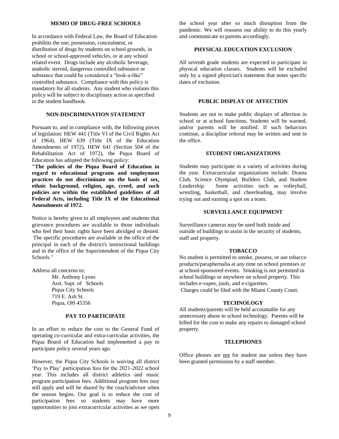#### **MEMO OF DRUG-FREE SCHOOLS**

In accordance with Federal Law, the Board of Education prohibits the use; possession, concealment, or distribution of drugs by students on school grounds, in school or school-approved vehicles, or at any school related event. Drugs include any alcoholic beverage, anabolic steroid, dangerous controlled substance or substance that could be considered a "look-a-like" controlled substance. Compliance with this policy is mandatory for all students. Any student who violates this policy will be subject to disciplinary action as specified in the student handbook.

## **NON-DISCRIMINATION STATEMENT**

Pursuant to, and in compliance with, the following pieces of legislation: HEW 441 (Title VI of the Civil Rights Act of 1964), HEW 639 (Title IX of the Education Amendments of 1972), HEW 641 (Section 504 of the Rehabilitation Act of 1972), the Piqua Board of Education has adopted the following policy:

**"The policies of the Piqua Board of Education in regard to educational programs and employment practices do not discriminate on the basis of sex, ethnic background, religion, age, creed, and such policies are within the established guidelines of all Federal Acts, including Title IX of the Educational Amendments of 1972.** 

Notice is hereby given to all employees and students that grievance procedures are available to those individuals who feel their basic rights have been abridged or denied. The specific procedures are available in the office of the principal in each of the district's instructional buildings and in the office of the Superintendent of the Piqua City Schools."

Address all concerns to:

Mr. Anthony Lyons Asst. Supt. of Schools Piqua City Schools 719 E. Ash St. Piqua, OH 45356

#### **PAY TO PARTICIPATE**

In an effort to reduce the cost to the General Fund of operating co-curricular and extra-curricular activities, the Piqua Board of Education had implemented a pay to participate policy several years ago.

However, the Piqua City Schools is waiving all district 'Pay to Play' participation fees for the 2021-2022 school year. This includes all district athletics and music program participation fees. Additional program fees may still apply and will be shared by the coach/advisor when the season begins. Our goal is to reduce the cost of participation fees so students may have more opportunities to join extracurricular activities as we open

the school year after so much disruption from the pandemic. We will reassess our ability to do this yearly and communicate to parents accordingly.

## **PHYSICAL EDUCATION EXCLUSION**

All seventh grade students are expected to participate in physical education classes. Students will be excluded only by a signed physician's statement that notes specific dates of exclusion.

#### **PUBLIC DISPLAY OF AFFECTION**

Students are not to make public displays of affection in school or at school functions. Students will be warned, and/or parents will be notified. If such behaviors continue, a discipline referral may be written and sent to the office.

#### **STUDENT ORGANIZATIONS**

Students may participate in a variety of activities during the year. Extracurricular organizations include: Drama Club, Science Olympiad, Builders Club, and Student Leadership. Some activities such as volleyball, wrestling, basketball, and cheerleading, may involve trying out and earning a spot on a team.

#### **SURVEILLANCE EQUIPMENT**

Surveillance cameras may be used both inside and outside of buildings to assist in the security of students, staff and property.

#### **TOBACCO**

No student is permitted to smoke, possess, or use tobacco products/paraphernalia at any time on school premises or at school-sponsored events. Smoking is not permitted in school buildings or anywhere on school property. This includes e-vapes, juuls, and e-cigarettes. Charges could be filed with the Miami County Court.

#### **TECHNOLOGY**

All students/parents will be held accountable for any unnecessary abuse to school technology. Parents will be billed for the cost to make any repairs to damaged school property.

#### **TELEPHONES**

Office phones are not for student use unless they have been granted permission by a staff member.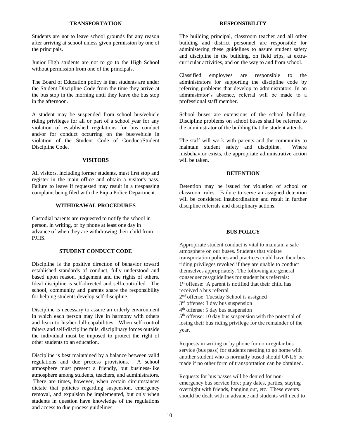#### **TRANSPORTATION**

Students are not to leave school grounds for any reason after arriving at school unless given permission by one of the principals.

Junior High students are not to go to the High School without permission from one of the principals.

The Board of Education policy is that students are under the Student Discipline Code from the time they arrive at the bus stop in the morning until they leave the bus stop in the afternoon.

A student may be suspended from school bus/vehicle riding privileges for all or part of a school year for any violation of established regulations for bus conduct and/or for conduct occurring on the bus/vehicle in violation of the Student Code of Conduct/Student Discipline Code.

#### **VISITORS**

All visitors, including former students, must first stop and register in the main office and obtain a visitor's pass. Failure to leave if requested may result in a trespassing complaint being filed with the Piqua Police Department.

#### **WITHDRAWAL PROCEDURES**

Custodial parents are requested to notify the school in person, in writing, or by phone at least one day in advance of when they are withdrawing their child from PJHS.

### **STUDENT CONDUCT CODE**

Discipline is the positive direction of behavior toward established standards of conduct, fully understood and based upon reason, judgement and the rights of others. Ideal discipline is self-directed and self-controlled. The school, community and parents share the responsibility for helping students develop self-discipline.

Discipline is necessary to assure an orderly environment in which each person may live in harmony with others and learn to his/her full capabilities. When self-control falters and self-discipline fails, disciplinary forces outside the individual must be imposed to protect the right of other students to an education.

Discipline is best maintained by a balance between valid regulations and due process provisions. A school atmosphere must present a friendly, but business-like atmosphere among students, teachers, and administrators. There are times, however, when certain circumstances dictate that policies regarding suspension, emergency removal, and expulsion be implemented, but only when students in question have knowledge of the regulations and access to due process guidelines.

#### **RESPONSIBILITY**

The building principal, classroom teacher and all other building and district personnel are responsible for administering these guidelines to assure student safety and discipline in the building, on field trips, at extracurricular activities, and on the way to and from school.

Classified employees are responsible to the administrators for supporting the discipline code by referring problems that develop to administrators. In an administrator's absence, referral will be made to a professional staff member.

School buses are extensions of the school building. Discipline problems on school buses shall be referred to the administrator of the building that the student attends.

The staff will work with parents and the community to maintain student safety and discipline. Where misbehavior exists, the appropriate administrative action will be taken.

#### **DETENTION**

Detention may be issued for violation of school or classroom rules. Failure to serve an assigned detention will be considered insubordination and result in further discipline referrals and disciplinary actions.

#### **BUS POLICY**

Appropriate student conduct is vital to maintain a safe atmosphere on our buses. Students that violate transportation policies and practices could have their bus riding privileges revoked if they are unable to conduct themselves appropriately. The following are general consequences/guidelines for student bus referrals: 1 st offense: A parent is notified that their child has received a bus referral 2<sup>nd</sup> offense: Tuesday School is assigned 3<sup>rd</sup> offense: 3 day bus suspension 4<sup>th</sup> offense: 5 day bus suspension 5<sup>th</sup> offense: 10 day bus suspension with the potential of losing their bus riding privilege for the remainder of the year.

Requests in writing or by phone for non-regular bus service (bus pass) for students needing to go home with another student who is normally bused should ONLY be made if no other form of transportation can be obtained.

Requests for bus passes will be denied for nonemergency bus service fore; play dates, parties, staying overnight with friends, hanging out, etc. These events should be dealt with in advance and students will need to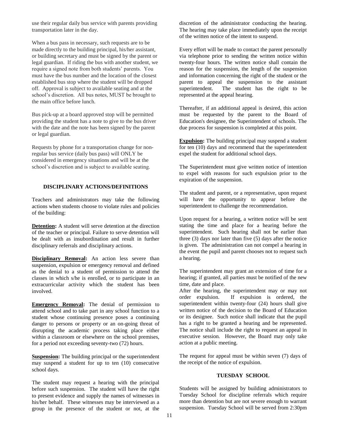use their regular daily bus service with parents providing transportation later in the day.

When a bus pass in necessary, such requests are to be made directly to the building principal, his/her assistant, or building secretary and must be signed by the parent or legal guardian. If riding the bus with another student, we require a signed note from both students' parents. You must have the bus number and the location of the closest established bus stop where the student will be dropped off. Approval is subject to available seating and at the school's discretion. All bus notes, MUST be brought to the main office before lunch.

Bus pick-up at a board approved stop will be permitted providing the student has a note to give to the bus driver with the date and the note has been signed by the parent or legal guardian.

Requests by phone for a transportation change for nonregular bus service (daily bus pass) will ONLY be considered in emergency situations and will be at the school's discretion and is subject to available seating.

#### **DISCIPLINARY ACTIONS/DEFINITIONS**

Teachers and administrators may take the following actions when students choose to violate rules and policies of the building:

**Detention:** A student will serve detention at the direction of the teacher or principal. Failure to serve detention will be dealt with as insubordination and result in further disciplinary referrals and disciplinary actions.

**Disciplinary Removal:** An action less severe than suspension, expulsion or emergency removal and defined as the denial to a student of permission to attend the classes in which s/he is enrolled, or to participate in an extracurricular activity which the student has been involved.

**Emergency Removal:** The denial of permission to attend school and to take part in any school function to a student whose continuing presence poses a continuing danger to persons or property or an on-going threat of disrupting the academic process taking place either within a classroom or elsewhere on the school premises, for a period not exceeding seventy-two (72) hours.

**Suspension:** The building principal or the superintendent may suspend a student for up to ten (10) consecutive school days.

The student may request a hearing with the principal before such suspension. The student will have the right to present evidence and supply the names of witnesses in his/her behalf. These witnesses may be interviewed as a group in the presence of the student or not, at the discretion of the administrator conducting the hearing. The hearing may take place immediately upon the receipt of the written notice of the intent to suspend.

Every effort will be made to contact the parent personally via telephone prior to sending the written notice within twenty-four hours. The written notice shall contain the reason for the suspension, the length of the suspension and information concerning the right of the student or the parent to appeal the suspension to the assistant superintendent. The student has the right to be represented at the appeal hearing.

Thereafter, if an additional appeal is desired, this action must be requested by the parent to the Board of Education's designee, the Superintendent of schools. The due process for suspension is completed at this point.

**Expulsion:** The building principal may suspend a student for ten (10) days and recommend that the superintendent expel the student for additional school days.

The Superintendent must give written notice of intention to expel with reasons for such expulsion prior to the expiration of the suspension.

The student and parent, or a representative, upon request will have the opportunity to appear before the superintendent to challenge the recommendation.

Upon request for a hearing, a written notice will be sent stating the time and place for a hearing before the superintendent. Such hearing shall not be earlier than three (3) days nor later than five (5) days after the notice is given. The administration can not compel a hearing in the event the pupil and parent chooses not to request such a hearing.

The superintendent may grant an extension of time for a hearing; if granted, all parties must be notified of the new time, date and place.

After the hearing, the superintendent may or may not order expulsion. If expulsion is ordered, the superintendent within twenty-four (24) hours shall give written notice of the decision to the Board of Education or its designee. Such notice shall indicate that the pupil has a right to be granted a hearing and be represented. The notice shall include the right to request an appeal in executive session. However, the Board may only take action at a public meeting.

The request for appeal must be within seven (7) days of the receipt of the notice of expulsion.

#### **TUESDAY SCHOOL**

Students will be assigned by building administrators to Tuesday School for discipline referrals which require more than detention but are not severe enough to warrant suspension. Tuesday School will be served from 2:30pm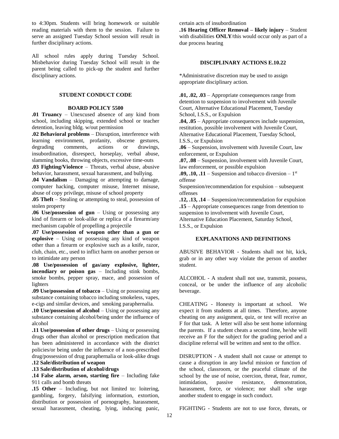to 4:30pm. Students will bring homework or suitable reading materials with them to the session. Failure to serve an assigned Tuesday School session will result in further disciplinary actions.

All school rules apply during Tuesday School. Misbehavior during Tuesday School will result in the parent being called to pick-up the student and further disciplinary actions.

## **STUDENT CONDUCT CODE**

#### **BOARD POLICY 5500**

**.01 Truancy** – Unexcused absence of any kind from school, including skipping, extended school or teacher detention, leaving bldg. w/out permission

**.02 Behavioral problems** – Disruption, interference with learning environment, profanity, obscene gestures, degrading comments, actions or drawings, insubordination, disrespect, horseplay, verbal abuse, slamming books, throwing objects, excessive time-outs

**.03 Fighting/Violence** – Threats, verbal abuse, abusive behavior, harassment, sexual harassment, and bullying.

**.04 Vandalism** – Damaging or attempting to damage, computer hacking, computer misuse, Internet misuse, abuse of copy privilege, misuse of school property

**.05 Theft** – Stealing or attempting to steal, possession of stolen property

**.06 Use/possession of gun** – Using or possessing any kind of firearm or look-alike or replica of a firearm/any mechanism capable of propelling a projectile

**.07 Use/possession of weapon other than a gun or explosive** – Using or possessing any kind of weapon other than a firearm or explosive such as a knife, razor, club, chain, etc., used to inflict harm on another person or to intimidate any person

**.08 Use/possession of gas/any explosive, lighter, incendiary or poison gas** – Including stink bombs, smoke bombs, pepper spray, mace, and possession of lighters

**.09 Use/possession of tobacco** – Using or possessing any substance containing tobacco including smokeless, vapes, e-cigs and similar devices, and smoking paraphernalia.

**.10 Use/possession of alcohol** – Using or possessing any substance containing alcohol/being under the influence of alcohol

**.11 Use/possession of other drugs** – Using or possessing drugs other than alcohol or prescription medication that has been administered in accordance with the district policies/or being under the influence of a non-prescribed drug/possession of drug paraphernalia or look-alike drugs

## **.12 Sale/distribution of weapon**

## **.13 Sale/distribution of alcohol/drugs**

**.14 False alarm, arson, starting fire** – Including fake 911 calls and bomb threats

**.15 Other** – Including, but not limited to: loitering, gambling, forgery, falsifying information, extortion, distribution or possession of pornography, harassment, sexual harassment, cheating, lying, inducing panic, certain acts of insubordination

**.16 Hearing Officer Removal – likely injury** – Student with disabilities **ONLY**/this would occur only as part of a due process hearing

#### **DISCIPLINARY ACTIONS E.10.22**

\*Administrative discretion may be used to assign appropriate disciplinary action.

**.01, .02, .03** – Appropriate consequences range from detention to suspension to involvement with Juvenile Court, Alternative Educational Placement, Tuesday School, I.S.S., or Expulsion

**.04, .05** – Appropriate consequences include suspension, restitution, possible involvement with Juvenile Court, Alternative Educational Placement, Tuesday School, I.S.S., or Expulsion

**.06** – Suspension, involvement with Juvenile Court, law enforcement, or Expulsion

**.07, .08** – Suspension, involvement with Juvenile Court, law enforcement, or possible expulsion

 $.09, .10, .11$  – Suspension and tobacco diversion –  $1<sup>st</sup>$ offense

Suspension/recommendation for expulsion – subsequent offenses

**.12, .13, .14** – Suspension/recommendation for expulsion **.15** – Appropriate consequences range from detention to suspension to involvement with Juvenile Court,

Alternative Education Placement, Saturday School, I.S.S., or Expulsion

## **EXPLANATIONS AND DEFINITIONS**

ABUSIVE BEHAVIOR - Students shall not hit, kick, grab or in any other way violate the person of another student.

ALCOHOL - A student shall not use, transmit, possess, conceal, or be under the influence of any alcoholic beverage.

CHEATING - Honesty is important at school. We expect it from students at all times. Therefore, anyone cheating on any assignment, quiz, or test will receive an F for that task. A letter will also be sent home informing the parents. If a student cheats a second time, he/she will receive an F for the subject for the grading period and a discipline referral will be written and sent to the office.

DISRUPTION - A student shall not cause or attempt to cause a disruption in any lawful mission or function of the school, classroom, or the peaceful climate of the school by the use of noise, coercion, threat, fear, rumor, intimidation, passive resistance, demonstration, harassment, force, or violence; nor shall s/he urge another student to engage in such conduct.

FIGHTING - Students are not to use force, threats, or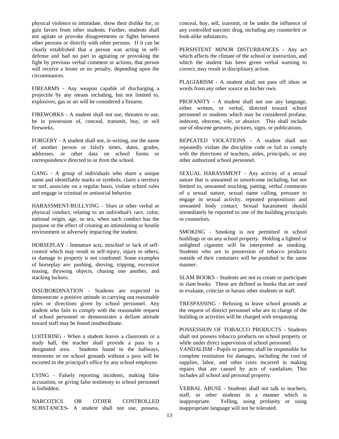physical violence to intimidate, show their dislike for, or gain favors from other students. Further, students shall not agitate or provoke disagreements or fights between other persons or directly with other persons. If it can be clearly established that a person was acting in selfdefense and had no part in agitating or provoking the fight by previous verbal comment or actions, that person will receive a lesser or no penalty, depending upon the circumstances.

FIREARMS - Any weapon capable of discharging a projectile by any means including, but not limited to, explosives, gas or air will be considered a firearm.

FIREWORKS - A student shall not use, threaten to use, be in possession of, conceal, transmit, buy, or sell fireworks.

FORGERY - A student shall not, in writing, use the name of another person or falsify times, dates, grades, addresses, or other data on school forms or correspondence directed to or from the school.

GANG - A group of individuals who share a unique name and identifiable marks or symbols, claim a territory or turf, associate on a regular basis, violate school rules and engage in criminal or antisocial behavior.

HARASSMENT/BULLYING – Slurs or other verbal or physical conduct, relating to an individual's race, color, national origin, age, or sex, when such conduct has the purpose or the effect of creating an intimidating or hostile environment or adversely impacting the student.

HORSEPLAY - Immature acts, mischief or lack of selfcontrol which may result in self-injury, injury to others, or damage to property is not condoned. Some examples of horseplay are: pushing, shoving, tripping, excessive teasing, throwing objects, chasing one another, and stacking lockers.

INSUBORDINATION - Students are expected to demonstrate a positive attitude in carrying out reasonable rules or directions given by school personnel. Any student who fails to comply with the reasonable request of school personnel or demonstrates a defiant attitude toward staff may be found insubordinate.

LOITERING - When a student leaves a classroom or a study hall, the teacher shall provide a pass to a designated area. Students found in the hallways, restrooms or on school grounds without a pass will be escorted to the principal's office by any school employee.

LYING - Falsely reporting incidents, making false accusation, or giving false testimony to school personnel is forbidden.

NARCOTICS OR OTHER CONTROLLED SUBSTANCES- A student shall not use, possess, conceal, buy, sell, transmit, or be under the influence of any controlled narcotic drug, including any counterfeit or look-alike substances.

PERSISTENT MINOR DISTURBANCES - Any act which affects the climate of the school or instruction, and which the student has been given verbal warning to correct, may result in disciplinary action.

PLAGIARISM - A student shall not pass off ideas or words from any other source as his/her own.

PROFANITY - A student shall not use any language, either written, or verbal, directed toward school personnel or students which may be considered profane, indecent, obscene, vile, or abusive. This shall include use of obscene gestures, pictures, signs, or publications.

REPEATED VIOLATIONS - A student shall not repeatedly violate the discipline code or fail to comply with the directions of teachers, aides, principals, or any other authorized school personnel.

SEXUAL HARASSMENT - Any activity of a sexual nature that is unwanted or unwelcome including, but not limited to, unwanted touching, patting, verbal comments of a sexual nature, sexual name calling, pressure to engage in sexual activity, repeated propositions and unwanted body contact. Sexual harassment should immediately be reported to one of the building principals or counselors.

SMOKING - Smoking is not permitted in school buildings or on any school property. Holding a lighted or unlighted cigarette will be interpreted as smoking. Students who are in possession of tobacco products outside of their containers will be punished in the same manner.

SLAM BOOKS - Students are not to create or participate in slam books. These are defined as books that are used to evaluate, criticize or harass other students or staff.

TRESPASSING - Refusing to leave school grounds at the request of district personnel who are in charge of the building or activities will be charged with trespassing.

POSSESSION OF TOBACCO PRODUCTS - Students shall not possess tobacco products on school property or while under direct supervision of school personnel.

VANDALISM - Pupils or parents shall be responsible for complete restitution for damages, including the cost of supplies, labor, and other costs incurred in making repairs that are caused by acts of vandalism. This includes all school and personal property.

VERBAL ABUSE - Students shall not talk to teachers, staff, or other students in a manner which is inappropriate. Yelling, using profanity or using inappropriate language will not be tolerated.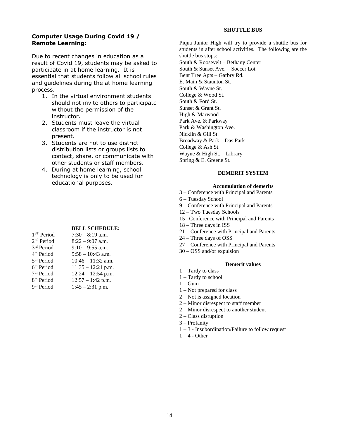#### **SHUTTLE BUS**

## **Computer Usage During Covid 19 / Remote Learning:**

Due to recent changes in education as a result of Covid 19, students may be asked to participate in at home learning. It is essential that students follow all school rules and guidelines during the at home learning process.

- 1. In the virtual environment students should not invite others to participate without the permission of the instructor.
- 2. Students must leave the virtual classroom if the instructor is not present.
- 3. Students are not to use district distribution lists or groups lists to contact, share, or communicate with other students or staff members.
- 4. During at home learning, school technology is only to be used for educational purposes.

#### **BELL SCHEDULE:**

| 1 <sup>ST</sup> Period | $7:30 - 8:19$ a.m.   |
|------------------------|----------------------|
| 2 <sup>nd</sup> Period | $8:22 - 9:07$ a.m.   |
| 3rd Period             | $9:10 - 9:55$ a.m.   |
| 4 <sup>th</sup> Period | $9:58 - 10:43$ a.m.  |
| 5 <sup>th</sup> Period | $10:46 - 11:32$ a.m. |
| $6th Period$           | $11:35 - 12:21$ p.m. |
| 7 <sup>th</sup> Period | $12:24 - 12:54$ p.m. |
| 8 <sup>th</sup> Period | $12:57 - 1:42$ p.m.  |
| 9 <sup>th</sup> Period | $1:45 - 2:31$ p.m.   |

Piqua Junior High will try to provide a shuttle bus for students in after school activities. The following are the shuttle bus stops: South & Roosevelt – Bethany Center South & Sunset Ave. – Soccer Lot Bent Tree Apts – Garbry Rd. E. Main & Staunton St. South & Wayne St. College & Wood St. South & Ford St. Sunset & Grant St. High & Marwood Park Ave. & Parkway Park & Washington Ave. Nicklin & Gill St. Broadway & Park – Das Park College & Ash St.

Wayne & High St. – Library

Spring & E. Greene St.

#### **DEMERIT SYSTEM**

#### **Accumulation of demerits**

- 3 Conference with Principal and Parents
- 6 Tuesday School
- 9 Conference with Principal and Parents
- 12 Two Tuesday Schools
- 15 –Conference with Principal and Parents
- 18 Three days in ISS
- 21 Conference with Principal and Parents
- 24 Three days of OSS
- 27 Conference with Principal and Parents
- 30 OSS and/or expulsion

#### **Demerit values**

- 1 Tardy to class
- 1 Tardy to school
- $1 \text{Gum}$
- 1 Not prepared for class
- 2 Not is assigned location
- 2 Minor disrespect to staff member
- 2 Minor disrespect to another student
- 2 Class disruption
- 3 Profanity
- 1 3 Insubordination/Failure to follow request
- $1 4$  Other